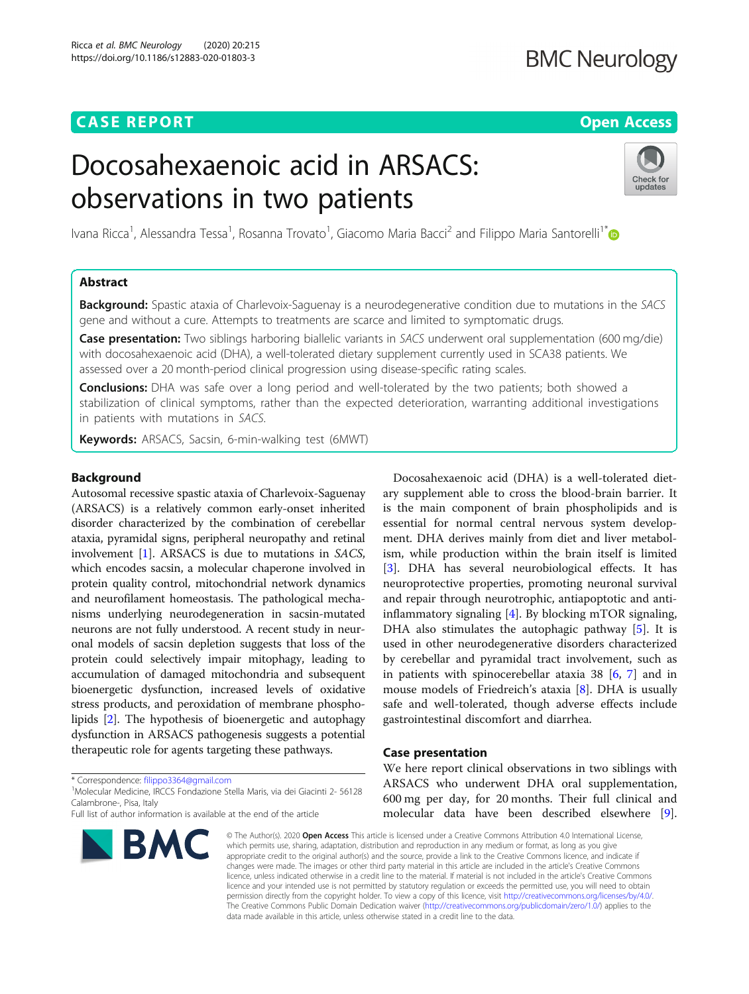# **CASE REPORT CASE REPORT CASE REPORT**

# **BMC Neurology**

# Docosahexaenoic acid in ARSACS: observations in two patients



Ivana Ricca<sup>1</sup>, Alessandra Tessa<sup>1</sup>, Rosanna Trovato<sup>1</sup>, Giacomo Maria Bacci<sup>2</sup> and Filippo Maria Santorelli<sup>1\*</sup>

# Abstract

**Background:** Spastic ataxia of Charlevoix-Saguenay is a neurodegenerative condition due to mutations in the SACS gene and without a cure. Attempts to treatments are scarce and limited to symptomatic drugs.

Case presentation: Two siblings harboring biallelic variants in SACS underwent oral supplementation (600 mg/die) with docosahexaenoic acid (DHA), a well-tolerated dietary supplement currently used in SCA38 patients. We assessed over a 20 month-period clinical progression using disease-specific rating scales.

**Conclusions:** DHA was safe over a long period and well-tolerated by the two patients; both showed a stabilization of clinical symptoms, rather than the expected deterioration, warranting additional investigations in patients with mutations in SACS.

Keywords: ARSACS, Sacsin, 6-min-walking test (6MWT)

### Background

Autosomal recessive spastic ataxia of Charlevoix-Saguenay (ARSACS) is a relatively common early-onset inherited disorder characterized by the combination of cerebellar ataxia, pyramidal signs, peripheral neuropathy and retinal involvement [\[1](#page-2-0)]. ARSACS is due to mutations in SACS, which encodes sacsin, a molecular chaperone involved in protein quality control, mitochondrial network dynamics and neurofilament homeostasis. The pathological mechanisms underlying neurodegeneration in sacsin-mutated neurons are not fully understood. A recent study in neuronal models of sacsin depletion suggests that loss of the protein could selectively impair mitophagy, leading to accumulation of damaged mitochondria and subsequent bioenergetic dysfunction, increased levels of oxidative stress products, and peroxidation of membrane phospholipids [\[2](#page-2-0)]. The hypothesis of bioenergetic and autophagy dysfunction in ARSACS pathogenesis suggests a potential therapeutic role for agents targeting these pathways.

\* Correspondence: [filippo3364@gmail.com](mailto:filippo3364@gmail.com) <sup>1</sup>

Molecular Medicine, IRCCS Fondazione Stella Maris, via dei Giacinti 2- 56128 Calambrone-, Pisa, Italy

Full list of author information is available at the end of the article



Docosahexaenoic acid (DHA) is a well-tolerated dietary supplement able to cross the blood-brain barrier. It is the main component of brain phospholipids and is essential for normal central nervous system development. DHA derives mainly from diet and liver metabolism, while production within the brain itself is limited [[3\]](#page-2-0). DHA has several neurobiological effects. It has neuroprotective properties, promoting neuronal survival and repair through neurotrophic, antiapoptotic and antiinflammatory signaling [[4\]](#page-2-0). By blocking mTOR signaling, DHA also stimulates the autophagic pathway [\[5](#page-2-0)]. It is used in other neurodegenerative disorders characterized by cerebellar and pyramidal tract involvement, such as in patients with spinocerebellar ataxia 38 [\[6](#page-2-0), [7\]](#page-2-0) and in mouse models of Friedreich's ataxia [\[8\]](#page-2-0). DHA is usually safe and well-tolerated, though adverse effects include gastrointestinal discomfort and diarrhea.

### Case presentation

We here report clinical observations in two siblings with ARSACS who underwent DHA oral supplementation, 600 mg per day, for 20 months. Their full clinical and molecular data have been described elsewhere [\[9](#page-2-0)].

© The Author(s). 2020 Open Access This article is licensed under a Creative Commons Attribution 4.0 International License, which permits use, sharing, adaptation, distribution and reproduction in any medium or format, as long as you give appropriate credit to the original author(s) and the source, provide a link to the Creative Commons licence, and indicate if changes were made. The images or other third party material in this article are included in the article's Creative Commons licence, unless indicated otherwise in a credit line to the material. If material is not included in the article's Creative Commons licence and your intended use is not permitted by statutory regulation or exceeds the permitted use, you will need to obtain permission directly from the copyright holder. To view a copy of this licence, visit [http://creativecommons.org/licenses/by/4.0/.](http://creativecommons.org/licenses/by/4.0/) The Creative Commons Public Domain Dedication waiver [\(http://creativecommons.org/publicdomain/zero/1.0/](http://creativecommons.org/publicdomain/zero/1.0/)) applies to the data made available in this article, unless otherwise stated in a credit line to the data.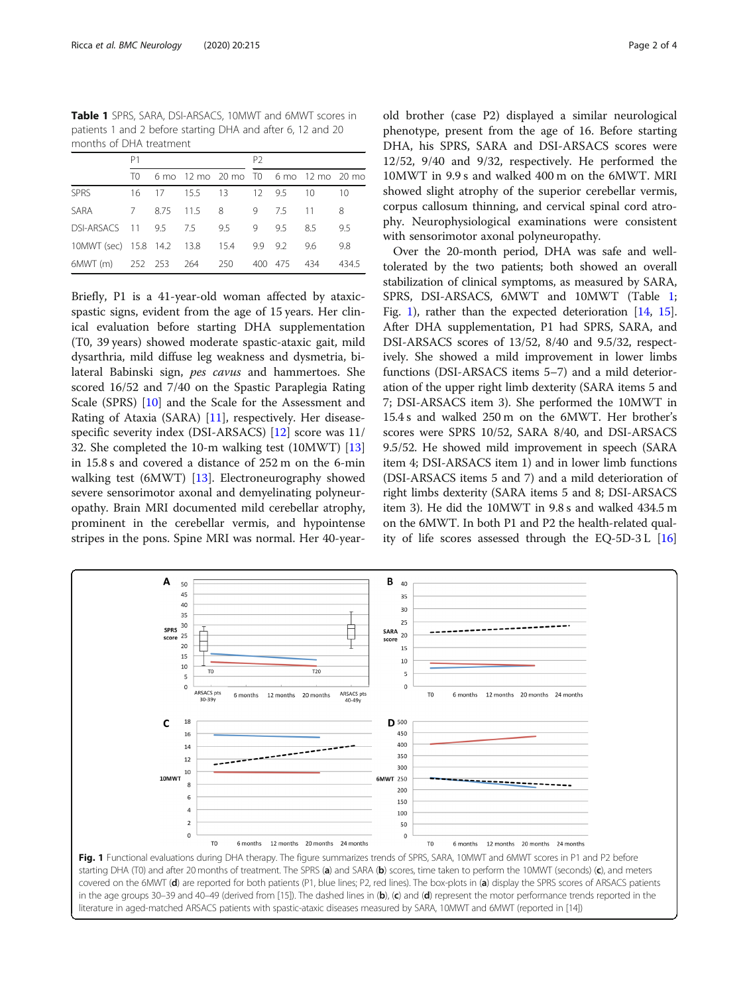Table 1 SPRS, SARA, DSI-ARSACS, 10MWT and 6MWT scores in patients 1 and 2 before starting DHA and after 6, 12 and 20 months of DHA treatment

|                                             | P <sub>1</sub> |  |  |                                         | P <sub>2</sub> |  |  |       |
|---------------------------------------------|----------------|--|--|-----------------------------------------|----------------|--|--|-------|
|                                             |                |  |  | T0 6 mo 12 mo 20 mo T0 6 mo 12 mo 20 mo |                |  |  |       |
| SPRS                                        |                |  |  | 16 17 15.5 13 12 9.5 10                 |                |  |  | -10   |
| SARA 7 8.75 11.5 8 9 7.5 11 8               |                |  |  |                                         |                |  |  |       |
| DSI-ARSACS 11 9.5 7.5 9.5 9 9.5 8.5         |                |  |  |                                         |                |  |  | 9.5   |
| 10MWT (sec) 15.8 14.2 13.8 15.4 9.9 9.2 9.6 |                |  |  |                                         |                |  |  | 9.8   |
| 6MWT (m) 252 253 264 250 400 475 434        |                |  |  |                                         |                |  |  | 434.5 |

Briefly, P1 is a 41-year-old woman affected by ataxicspastic signs, evident from the age of 15 years. Her clinical evaluation before starting DHA supplementation (T0, 39 years) showed moderate spastic-ataxic gait, mild dysarthria, mild diffuse leg weakness and dysmetria, bilateral Babinski sign, pes cavus and hammertoes. She scored 16/52 and 7/40 on the Spastic Paraplegia Rating Scale (SPRS) [[10\]](#page-2-0) and the Scale for the Assessment and Rating of Ataxia (SARA) [[11\]](#page-2-0), respectively. Her diseasespecific severity index (DSI-ARSACS) [\[12\]](#page-3-0) score was 11/ 32. She completed the 10-m walking test (10MWT) [[13](#page-3-0)] in 15.8 s and covered a distance of 252 m on the 6-min walking test (6MWT) [[13](#page-3-0)]. Electroneurography showed severe sensorimotor axonal and demyelinating polyneuropathy. Brain MRI documented mild cerebellar atrophy, prominent in the cerebellar vermis, and hypointense stripes in the pons. Spine MRI was normal. Her 40-year-

old brother (case P2) displayed a similar neurological phenotype, present from the age of 16. Before starting DHA, his SPRS, SARA and DSI-ARSACS scores were 12/52, 9/40 and 9/32, respectively. He performed the 10MWT in 9.9 s and walked 400 m on the 6MWT. MRI showed slight atrophy of the superior cerebellar vermis, corpus callosum thinning, and cervical spinal cord atrophy. Neurophysiological examinations were consistent with sensorimotor axonal polyneuropathy.

Over the 20-month period, DHA was safe and welltolerated by the two patients; both showed an overall stabilization of clinical symptoms, as measured by SARA, SPRS, DSI-ARSACS, 6MWT and 10MWT (Table 1; Fig. 1), rather than the expected deterioration [\[14,](#page-3-0) [15](#page-3-0)]. After DHA supplementation, P1 had SPRS, SARA, and DSI-ARSACS scores of 13/52, 8/40 and 9.5/32, respectively. She showed a mild improvement in lower limbs functions (DSI-ARSACS items 5–7) and a mild deterioration of the upper right limb dexterity (SARA items 5 and 7; DSI-ARSACS item 3). She performed the 10MWT in 15.4 s and walked 250 m on the 6MWT. Her brother's scores were SPRS 10/52, SARA 8/40, and DSI-ARSACS 9.5/52. He showed mild improvement in speech (SARA item 4; DSI-ARSACS item 1) and in lower limb functions (DSI-ARSACS items 5 and 7) and a mild deterioration of right limbs dexterity (SARA items 5 and 8; DSI-ARSACS item 3). He did the 10MWT in 9.8 s and walked 434.5 m on the 6MWT. In both P1 and P2 the health-related quality of life scores assessed through the EQ-5D-3 L [[16](#page-3-0)]

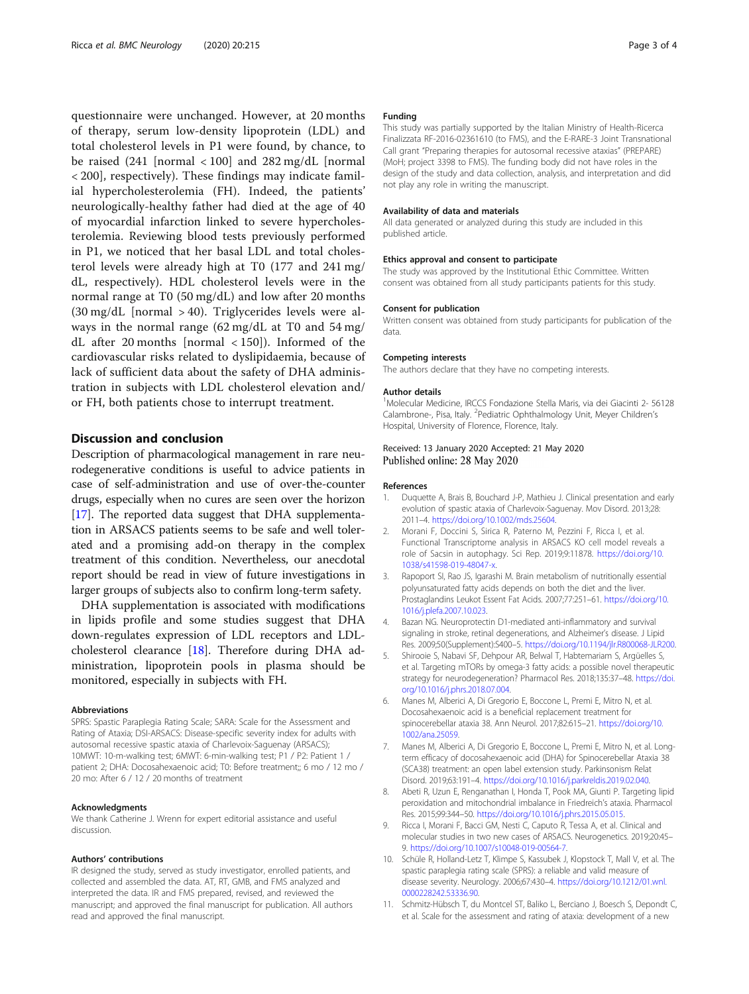<span id="page-2-0"></span>questionnaire were unchanged. However, at 20 months of therapy, serum low-density lipoprotein (LDL) and total cholesterol levels in P1 were found, by chance, to be raised  $(241 \text{ [normal } < 100]$  and  $282 \text{ mg/dL}$  [normal < 200], respectively). These findings may indicate familial hypercholesterolemia (FH). Indeed, the patients' neurologically-healthy father had died at the age of 40 of myocardial infarction linked to severe hypercholesterolemia. Reviewing blood tests previously performed in P1, we noticed that her basal LDL and total cholesterol levels were already high at T0 (177 and 241 mg/ dL, respectively). HDL cholesterol levels were in the normal range at T0 (50 mg/dL) and low after 20 months  $(30 \text{ mg/dL}$  [normal > 40). Triglycerides levels were always in the normal range (62 mg/dL at T0 and 54 mg/ dL after 20 months [normal < 150]). Informed of the cardiovascular risks related to dyslipidaemia, because of lack of sufficient data about the safety of DHA administration in subjects with LDL cholesterol elevation and/ or FH, both patients chose to interrupt treatment.

# Discussion and conclusion

Description of pharmacological management in rare neurodegenerative conditions is useful to advice patients in case of self-administration and use of over-the-counter drugs, especially when no cures are seen over the horizon [[17](#page-3-0)]. The reported data suggest that DHA supplementation in ARSACS patients seems to be safe and well tolerated and a promising add-on therapy in the complex treatment of this condition. Nevertheless, our anecdotal report should be read in view of future investigations in larger groups of subjects also to confirm long-term safety.

DHA supplementation is associated with modifications in lipids profile and some studies suggest that DHA down-regulates expression of LDL receptors and LDLcholesterol clearance [[18](#page-3-0)]. Therefore during DHA administration, lipoprotein pools in plasma should be monitored, especially in subjects with FH.

#### **Abbreviations**

SPRS: Spastic Paraplegia Rating Scale; SARA: Scale for the Assessment and Rating of Ataxia; DSI-ARSACS: Disease-specific severity index for adults with autosomal recessive spastic ataxia of Charlevoix-Saguenay (ARSACS); 10MWT: 10-m-walking test; 6MWT: 6-min-walking test; P1 / P2: Patient 1 / patient 2; DHA: Docosahexaenoic acid; T0: Before treatment;; 6 mo / 12 mo / 20 mo: After 6 / 12 / 20 months of treatment

#### Acknowledgments

We thank Catherine J. Wrenn for expert editorial assistance and useful discussion.

#### Authors' contributions

IR designed the study, served as study investigator, enrolled patients, and collected and assembled the data. AT, RT, GMB, and FMS analyzed and interpreted the data. IR and FMS prepared, revised, and reviewed the manuscript; and approved the final manuscript for publication. All authors read and approved the final manuscript.

#### Funding

This study was partially supported by the Italian Ministry of Health-Ricerca Finalizzata RF-2016-02361610 (to FMS), and the E-RARE-3 Joint Transnational Call grant "Preparing therapies for autosomal recessive ataxias" (PREPARE) (MoH; project 3398 to FMS). The funding body did not have roles in the design of the study and data collection, analysis, and interpretation and did not play any role in writing the manuscript.

#### Availability of data and materials

All data generated or analyzed during this study are included in this published article.

#### Ethics approval and consent to participate

The study was approved by the Institutional Ethic Committee. Written consent was obtained from all study participants patients for this study.

#### Consent for publication

Written consent was obtained from study participants for publication of the data.

#### Competing interests

The authors declare that they have no competing interests.

#### Author details

<sup>1</sup>Molecular Medicine, IRCCS Fondazione Stella Maris, via dei Giacinti 2- 56128 Calambrone-, Pisa, Italy. <sup>2</sup> Pediatric Ophthalmology Unit, Meyer Children's Hospital, University of Florence, Florence, Italy.

### Received: 13 January 2020 Accepted: 21 May 2020 Published online: 28 May 2020

#### References

- 1. Duquette A, Brais B, Bouchard J-P, Mathieu J. Clinical presentation and early evolution of spastic ataxia of Charlevoix-Saguenay. Mov Disord. 2013;28: 2011–4. <https://doi.org/10.1002/mds.25604>.
- 2. Morani F, Doccini S, Sirica R, Paterno M, Pezzini F, Ricca I, et al. Functional Transcriptome analysis in ARSACS KO cell model reveals a role of Sacsin in autophagy. Sci Rep. 2019;9:11878. [https://doi.org/10.](https://doi.org/10.1038/s41598-019-48047-x) [1038/s41598-019-48047-x](https://doi.org/10.1038/s41598-019-48047-x).
- Rapoport SI, Rao JS, Igarashi M. Brain metabolism of nutritionally essential polyunsaturated fatty acids depends on both the diet and the liver. Prostaglandins Leukot Essent Fat Acids. 2007;77:251–61. [https://doi.org/10.](https://doi.org/10.1016/j.plefa.2007.10.023) [1016/j.plefa.2007.10.023.](https://doi.org/10.1016/j.plefa.2007.10.023)
- 4. Bazan NG. Neuroprotectin D1-mediated anti-inflammatory and survival signaling in stroke, retinal degenerations, and Alzheimer's disease. J Lipid Res. 2009;50(Supplement):S400–5. [https://doi.org/10.1194/jlr.R800068-JLR200.](https://doi.org/10.1194/jlr.R800068-JLR200)
- 5. Shirooie S, Nabavi SF, Dehpour AR, Belwal T, Habtemariam S, Argüelles S, et al. Targeting mTORs by omega-3 fatty acids: a possible novel therapeutic strategy for neurodegeneration? Pharmacol Res. 2018;135:37–48. [https://doi.](https://doi.org/10.1016/j.phrs.2018.07.004) [org/10.1016/j.phrs.2018.07.004](https://doi.org/10.1016/j.phrs.2018.07.004).
- 6. Manes M, Alberici A, Di Gregorio E, Boccone L, Premi E, Mitro N, et al. Docosahexaenoic acid is a beneficial replacement treatment for spinocerebellar ataxia 38. Ann Neurol. 2017;82:615–21. [https://doi.org/10.](https://doi.org/10.1002/ana.25059) [1002/ana.25059](https://doi.org/10.1002/ana.25059).
- 7. Manes M, Alberici A, Di Gregorio E, Boccone L, Premi E, Mitro N, et al. Longterm efficacy of docosahexaenoic acid (DHA) for Spinocerebellar Ataxia 38 (SCA38) treatment: an open label extension study. Parkinsonism Relat Disord. 2019;63:191–4. <https://doi.org/10.1016/j.parkreldis.2019.02.040>.
- 8. Abeti R, Uzun E, Renganathan I, Honda T, Pook MA, Giunti P. Targeting lipid peroxidation and mitochondrial imbalance in Friedreich's ataxia. Pharmacol Res. 2015;99:344–50. [https://doi.org/10.1016/j.phrs.2015.05.015.](https://doi.org/10.1016/j.phrs.2015.05.015)
- 9. Ricca I, Morani F, Bacci GM, Nesti C, Caputo R, Tessa A, et al. Clinical and molecular studies in two new cases of ARSACS. Neurogenetics. 2019;20:45– 9. <https://doi.org/10.1007/s10048-019-00564-7>.
- 10. Schüle R, Holland-Letz T, Klimpe S, Kassubek J, Klopstock T, Mall V, et al. The spastic paraplegia rating scale (SPRS): a reliable and valid measure of disease severity. Neurology. 2006;67:430–4. [https://doi.org/10.1212/01.wnl.](https://doi.org/10.1212/01.wnl.0000228242.53336.90) [0000228242.53336.90](https://doi.org/10.1212/01.wnl.0000228242.53336.90).
- 11. Schmitz-Hübsch T, du Montcel ST, Baliko L, Berciano J, Boesch S, Depondt C, et al. Scale for the assessment and rating of ataxia: development of a new